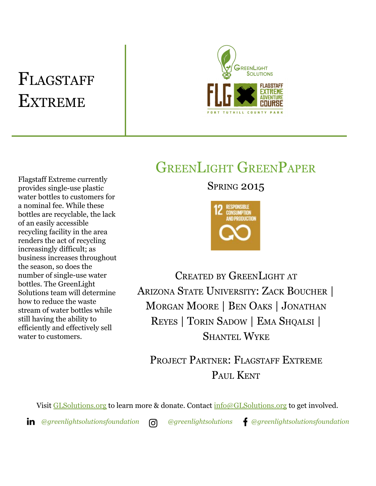# FLAGSTAFF **EXTREME**



## GREENLIGHT GREENPAPER

Flagstaff Extreme currently provides single-use plastic water bottles to customers for a nominal fee. While these bottles are recyclable, the lack of an easily accessible recycling facility in the area renders the act of recycling increasingly difficult; as business increases throughout the season, so does the number of single-use water bottles. The GreenLight Solutions team will determine how to reduce the waste stream of water bottles while still having the ability to efficiently and effectively sell water to customers.

### **SPRING 2015**



CREATED BY GREENLIGHT AT ARIZONA STATE UNIVERSITY: ZACK BOUCHER | MORGAN MOORE | BEN OAKS | JONATHAN REYES | TORIN SADOW | EMA SHQALSI | SHANTEL WYKE

PROJECT PARTNER: FLAGSTAFF EXTREME PAUL KENT

Visit [GLSolutions.org](https://www.glsolutions.org/) to learn more & donate. Contact [info@GLSolutions.org](mailto:info@GLSolutions.org) to get involved.

*[@greenlightsolutionsfoundation](https://www.linkedin.com/company/10571635) [@greenlightsolutions](https://www.instagram.com/greenlightsolutions/) [@greenlightsolutionsfoundation](https://www.facebook.com/GreenLightSolutionsFoundation/)*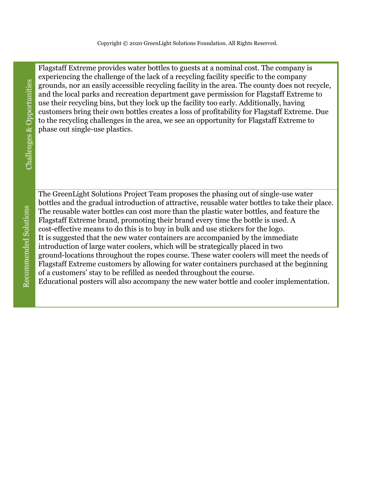Flagstaff Extreme provides water bottles to guests at a nominal cost. The company is experiencing the challenge of the lack of a recycling facility specific to the company grounds, nor an easily accessible recycling facility in the area. The county does not recycle, and the local parks and recreation department gave permission for Flagstaff Extreme to use their recycling bins, but they lock up the facility too early. Additionally, having customers bring their own bottles creates a loss of profitability for Flagstaff Extreme. Due to the recycling challenges in the area, we see an opportunity for Flagstaff Extreme to phase out single-use plastics.

Challenges & Opportunities

The GreenLight Solutions Project Team proposes the phasing out of single-use water bottles and the gradual introduction of attractive, reusable water bottles to take their place. The reusable water bottles can cost more than the plastic water bottles, and feature the Flagstaff Extreme brand, promoting their brand every time the bottle is used. A cost-effective means to do this is to buy in bulk and use stickers for the logo. It is suggested that the new water containers are accompanied by the immediate introduction of large water coolers, which will be strategically placed in two ground-locations throughout the ropes course. These water coolers will meet the needs of Flagstaff Extreme customers by allowing for water containers purchased at the beginning of a customers' stay to be refilled as needed throughout the course. Educational posters will also accompany the new water bottle and cooler implementation.